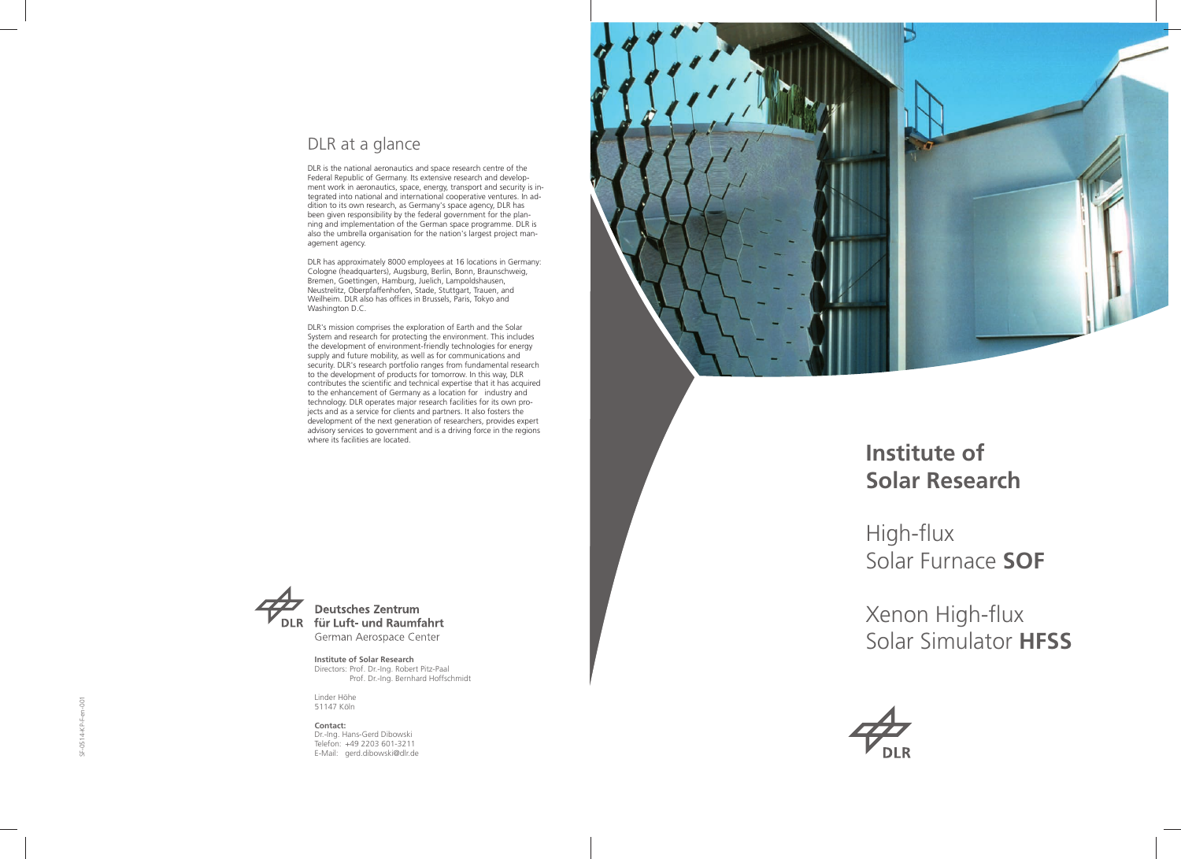# **Institute ofSolar Research**

High-flux Solar Furnace **SOF** 

Xenon High-flux Solar Simulator **HFSS** 



**Institute of Solar Research** Directors: Prof. Dr.-Ing. Robert Pitz-Paal Prof. Dr.-Ing. Bernhard Hoffschmidt

Linder Höhe 51147 Köln

**Contact:** Dr.-Ing. Hans-Gerd Dibowski Telefon: +49 2203 601-3211 E-Mail: gerd.dibowski@dlr.de



## DLR at a glance

DLR is the national aeronautics and space research centre of the Federal Republic of Germany. Its extensive research and development work in aeronautics, space, energy, transport and security is integrated into national and international cooperative ventures. In addition to its own research, as Germany's space agency, DLR has been given responsibility by the federal government for the planning and implementation of the German space programme. DLR is also the umbrella organisation for the nation's largest project management agency.

DLR has approximately 8000 employees at 16 locations in Germany: Cologne (headquarters), Augsburg, Berlin, Bonn, Braunschweig, Bremen, Goettingen, Hamburg, Juelich, Lampoldshausen, Neustrelitz, Oberpfaffenhofen, Stade, Stuttgart, Trauen, and Weilheim. DLR also has offices in Brussels, Paris, Tokyo and Washington D.C.

DLR's mission comprises the exploration of Earth and the Solar System and research for protecting the environment. This includes the development of environment-friendly technologies for energy supply and future mobility, as well as for communications and security. DLR's research portfolio ranges from fundamental research to the development of products for tomorrow. In this way, DLR contributes the scientific and technical expertise that it has acquired to the enhancement of Germany as a location for industry and technology. DLR operates major research facilities for its own projects and as a service for clients and partners. It also fosters the development of the next generation of researchers, provides expert advisory services to government and is a driving force in the regions where its facilities are located.